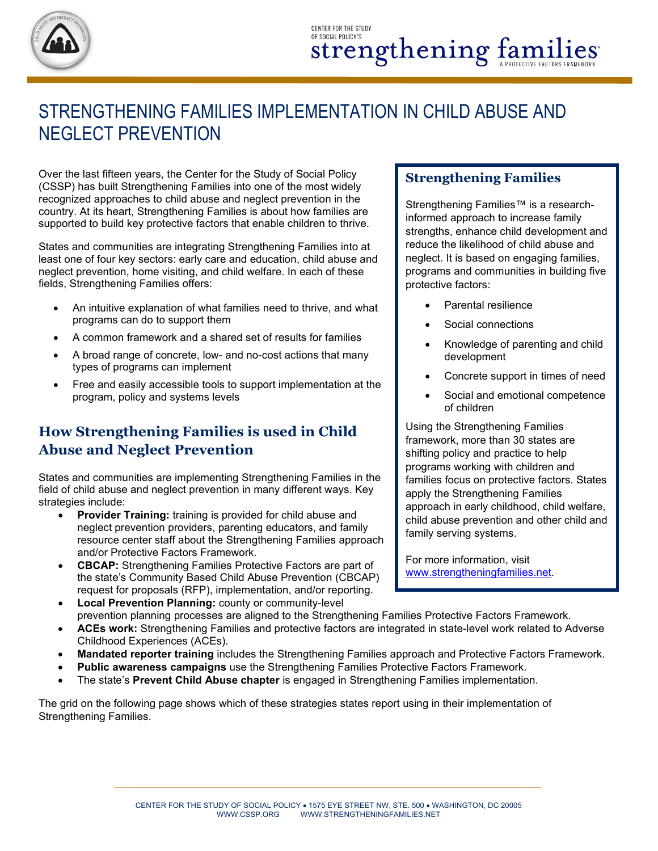

## STRENGTHENING FAMILIES IMPLEMENTATION IN CHILD ABUSE AND NEGLECT PREVENTION

Over the last fifteen years, the Center for the Study of Social Policy (CSSP) has built Strengthening Families into one of the most widely recognized approaches to child abuse and neglect prevention in the country. At its heart, Strengthening Families is about how families are supported to build key protective factors that enable children to thrive.

States and communities are integrating Strengthening Families into at least one of four key sectors: early care and education, child abuse and neglect prevention, home visiting, and child welfare. In each of these fields, Strengthening Families offers:

- An intuitive explanation of what families need to thrive, and what programs can do to support them
- A common framework and a shared set of results for families
- A broad range of concrete, low- and no-cost actions that many types of programs can implement
- Free and easily accessible tools to support implementation at the program, policy and systems levels

## **How Strengthening Families is used in Child Abuse and Neglect Prevention**

States and communities are implementing Strengthening Families in the field of child abuse and neglect prevention in many different ways. Key strategies include:

- **Provider Training:** training is provided for child abuse and neglect prevention providers, parenting educators, and family resource center staff about the Strengthening Families approach and/or Protective Factors Framework.
- **CBCAP:** Strengthening Families Protective Factors are part of the state's Community Based Child Abuse Prevention (CBCAP) request for proposals (RFP), implementation, and/or reporting. • **Local Prevention Planning:** county or community-level

## **Strengthening Families**

Strengthening Families™ is a researchinformed approach to increase family strengths, enhance child development and reduce the likelihood of child abuse and neglect. It is based on engaging families, programs and communities in building five protective factors:

- Parental resilience
- Social connections
- Knowledge of parenting and child development
- Concrete support in times of need
- Social and emotional competence of children

Using the Strengthening Families framework, more than 30 states are shifting policy and practice to help programs working with children and families focus on protective factors. States apply the Strengthening Families approach in early childhood, child welfare, child abuse prevention and other child and family serving systems.

For more information, visit [www.strengtheningfamilies.net.](http://www.strengtheningfamilies.net/) 

- prevention planning processes are aligned to the Strengthening Families Protective Factors Framework.
- **ACEs work:** Strengthening Families and protective factors are integrated in state-level work related to Adverse Childhood Experiences (ACEs).
- **Mandated reporter training** includes the Strengthening Families approach and Protective Factors Framework.
- **Public awareness campaigns** use the Strengthening Families Protective Factors Framework.
- The state's **Prevent Child Abuse chapter** is engaged in Strengthening Families implementation.

The grid on the following page shows which of these strategies states report using in their implementation of Strengthening Families.